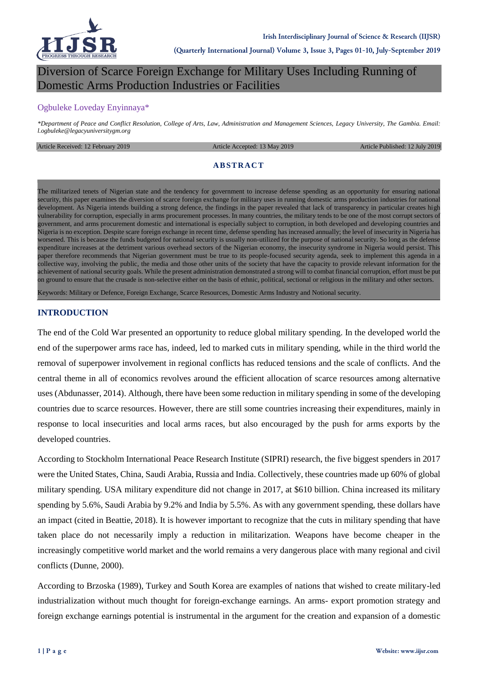

# Diversion of Scarce Foreign Exchange for Military Uses Including Running of Domestic Arms Production Industries or Facilities

#### Ogbuleke Loveday Enyinnaya\*

*\*Department of Peace and Conflict Resolution, College of Arts, Law, Administration and Management Sciences, Legacy University, The Gambia. Email: l.ogbuleke@legacyuniversitygm.org*

#### Article Received: 12 February 2019 **Article Accepted: 13 May 2019** Article Published: 12 July 2019

#### **ABSTRACT**

The militarized tenets of Nigerian state and the tendency for government to increase defense spending as an opportunity for ensuring national security, this paper examines the diversion of scarce foreign exchange for military uses in running domestic arms production industries for national development. As Nigeria intends building a strong defence, the findings in the paper revealed that lack of transparency in particular creates high vulnerability for corruption, especially in arms procurement processes. In many countries, the military tends to be one of the most corrupt sectors of government, and arms procurement domestic and international is especially subject to corruption, in both developed and developing countries and Nigeria is no exception. Despite scare foreign exchange in recent time, defense spending has increased annually; the level of insecurity in Nigeria has worsened. This is because the funds budgeted for national security is usually non-utilized for the purpose of national security. So long as the defense expenditure increases at the detriment various overhead sectors of the Nigerian economy, the insecurity syndrome in Nigeria would persist. This paper therefore recommends that Nigerian government must be true to its people-focused security agenda, seek to implement this agenda in a collective way, involving the public, the media and those other units of the society that have the capacity to provide relevant information for the achievement of national security goals. While the present administration demonstrated a strong will to combat financial corruption, effort must be put on ground to ensure that the crusade is non-selective either on the basis of ethnic, political, sectional or religious in the military and other sectors.

Keywords: Military or Defence, Foreign Exchange, Scarce Resources, Domestic Arms Industry and Notional security.

#### **INTRODUCTION**

The end of the Cold War presented an opportunity to reduce global military spending. In the developed world the end of the superpower arms race has, indeed, led to marked cuts in military spending, while in the third world the removal of superpower involvement in regional conflicts has reduced tensions and the scale of conflicts. And the central theme in all of economics revolves around the efficient allocation of scarce resources among alternative uses (Abdunasser, 2014). Although, there have been some reduction in military spending in some of the developing countries due to scarce resources. However, there are still some countries increasing their expenditures, mainly in response to local insecurities and local arms races, but also encouraged by the push for arms exports by the developed countries.

According to Stockholm International Peace Research Institute (SIPRI) research, the five biggest spenders in 2017 were the United States, China, Saudi Arabia, Russia and India. Collectively, these countries made up 60% of global military spending. USA military expenditure did not change in 2017, at \$610 billion. China increased its military spending by 5.6%, Saudi Arabia by 9.2% and India by 5.5%. As with any government spending, these dollars have an impact (cited in Beattie, 2018). It is however important to recognize that the cuts in military spending that have taken place do not necessarily imply a reduction in militarization. Weapons have become cheaper in the increasingly competitive world market and the world remains a very dangerous place with many regional and civil conflicts (Dunne, 2000).

According to Brzoska (1989), Turkey and South Korea are examples of nations that wished to create military-led industrialization without much thought for foreign-exchange earnings. An arms- export promotion strategy and foreign exchange earnings potential is instrumental in the argument for the creation and expansion of a domestic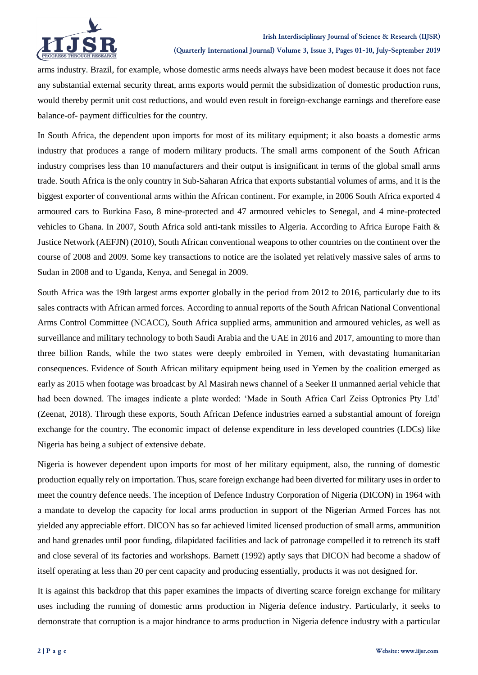



**(Quarterly International Journal) Volume 3, Issue 3, Pages 01-10, July-September 2019**

arms industry. Brazil, for example, whose domestic arms needs always have been modest because it does not face any substantial external security threat, arms exports would permit the subsidization of domestic production runs, would thereby permit unit cost reductions, and would even result in foreign-exchange earnings and therefore ease balance-of- payment difficulties for the country.

In South Africa, the dependent upon imports for most of its military equipment; it also boasts a domestic arms industry that produces a range of modern military products. The small arms component of the South African industry comprises less than 10 manufacturers and their output is insignificant in terms of the global small arms trade. South Africa is the only country in Sub-Saharan Africa that exports substantial volumes of arms, and it is the biggest exporter of conventional arms within the African continent. For example, in 2006 South Africa exported 4 armoured cars to Burkina Faso, 8 mine-protected and 47 armoured vehicles to Senegal, and 4 mine-protected vehicles to Ghana. In 2007, South Africa sold anti-tank missiles to Algeria. According to Africa Europe Faith & Justice Network (AEFJN) (2010), South African conventional weapons to other countries on the continent over the course of 2008 and 2009. Some key transactions to notice are the isolated yet relatively massive sales of arms to Sudan in 2008 and to Uganda, Kenya, and Senegal in 2009.

South Africa was the 19th largest arms exporter globally in the period from 2012 to 2016, particularly due to its sales contracts with African armed forces. According to annual reports of the South African National Conventional Arms Control Committee (NCACC), South Africa supplied arms, ammunition and armoured vehicles, as well as surveillance and military technology to both Saudi Arabia and the UAE in 2016 and 2017, amounting to more than three billion Rands, while the two states were deeply embroiled in Yemen, with devastating humanitarian consequences. Evidence of South African military equipment being used in Yemen by the coalition emerged as early as 2015 when footage was broadcast by Al Masirah news channel of a Seeker II unmanned aerial vehicle that had been downed. The images indicate a plate worded: 'Made in South Africa Carl Zeiss Optronics Pty Ltd' (Zeenat, 2018). Through these exports, South African Defence industries earned a substantial amount of foreign exchange for the country. The economic impact of defense expenditure in less developed countries (LDCs) like Nigeria has being a subject of extensive debate.

Nigeria is however dependent upon imports for most of her military equipment, also, the running of domestic production equally rely on importation. Thus, scare foreign exchange had been diverted for military uses in order to meet the country defence needs. The inception of Defence Industry Corporation of Nigeria (DICON) in 1964 with a mandate to develop the capacity for local arms production in support of the Nigerian Armed Forces has not yielded any appreciable effort. DICON has so far achieved limited licensed production of small arms, ammunition and hand grenades until poor funding, dilapidated facilities and lack of patronage compelled it to retrench its staff and close several of its factories and workshops. Barnett (1992) aptly says that DICON had become a shadow of itself operating at less than 20 per cent capacity and producing essentially, products it was not designed for.

It is against this backdrop that this paper examines the impacts of diverting scarce foreign exchange for military uses including the running of domestic arms production in Nigeria defence industry. Particularly, it seeks to demonstrate that corruption is a major hindrance to arms production in Nigeria defence industry with a particular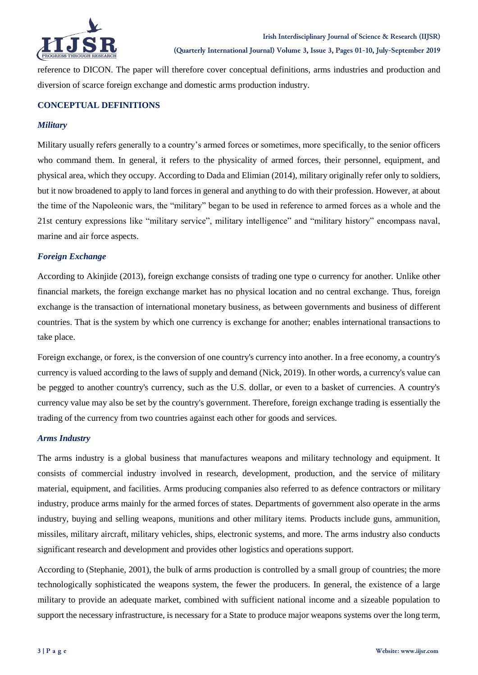

reference to DICON. The paper will therefore cover conceptual definitions, arms industries and production and diversion of scarce foreign exchange and domestic arms production industry.

#### **CONCEPTUAL DEFINITIONS**

#### *Military*

Military usually refers generally to a country"s armed forces or sometimes, more specifically, to the senior officers who command them. In general, it refers to the physicality of armed forces, their personnel, equipment, and physical area, which they occupy. According to Dada and Elimian (2014), military originally refer only to soldiers, but it now broadened to apply to land forces in general and anything to do with their profession. However, at about the time of the Napoleonic wars, the "military" began to be used in reference to armed forces as a whole and the 21st century expressions like "military service", military intelligence" and "military history" encompass naval, marine and air force aspects.

#### *Foreign Exchange*

According to Akinjide (2013), foreign exchange consists of trading one type o currency for another. Unlike other financial markets, the foreign exchange market has no physical location and no central exchange. Thus, foreign exchange is the transaction of international monetary business, as between governments and business of different countries. That is the system by which one currency is exchange for another; enables international transactions to take place.

Foreign exchange, or forex, is the conversion of one country's currency into another. In a free economy, a country's currency is valued according to the laws of supply and demand (Nick, 2019). In other words, a currency's value can be pegged to another country's currency, such as the U.S. dollar, or even to a basket of currencies. A country's currency value may also be set by the country's government. Therefore, foreign exchange trading is essentially the trading of the currency from two countries against each other for goods and services.

#### *Arms Industry*

The arms industry is a global business that manufactures weapons and military technology and equipment. It consists of commercial industry involved in research, development, production, and the service of military material, equipment, and facilities. Arms producing companies also referred to as defence contractors or military industry, produce arms mainly for the armed forces of [states.](http://en.wikipedia.org/wiki/State_(polity)) Departments of government also operate in the arms industry, buying and selling weapons, munitions and other military items. Products include guns, ammunition, missiles, military aircraft, military vehicles, ships, electronic systems, and more. The arms industry also conducts significant research and development and provides other logistics and operations support.

According to (Stephanie, 2001), the bulk of arms production is controlled by a small group of countries; the more technologically sophisticated the weapons system, the fewer the producers. In general, the existence of a large military to provide an adequate market, combined with sufficient national income and a sizeable population to support the necessary infrastructure, is necessary for a State to produce major weapons systems over the long term,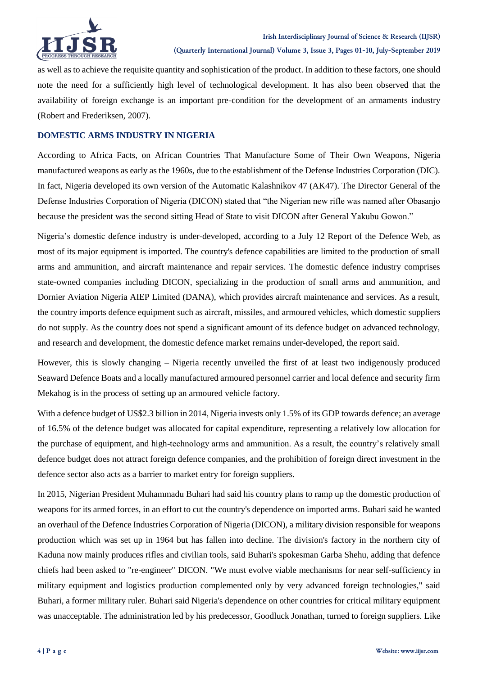

as well as to achieve the requisite quantity and sophistication of the product. In addition to these factors, one should note the need for a sufficiently high level of technological development. It has also been observed that the availability of foreign exchange is an important pre-condition for the development of an armaments industry (Robert and Frederiksen, 2007).

## **DOMESTIC ARMS INDUSTRY IN NIGERIA**

According to Africa Facts, on African Countries That Manufacture Some of Their Own Weapons, Nigeria manufactured weapons as early as the 1960s, due to the establishment of the Defense Industries Corporation (DIC). In fact, Nigeria developed its own version of the Automatic Kalashnikov 47 (AK47). The Director General of the Defense Industries Corporation of Nigeria (DICON) stated that "the Nigerian new rifle was named after Obasanjo because the president was the second sitting Head of State to visit DICON after General Yakubu Gowon."

Nigeria"s domestic defence industry is under-developed, according to a July 12 Report of the Defence Web, as most of its major equipment is imported. The country's defence capabilities are limited to the production of small arms and ammunition, and aircraft maintenance and repair services. The domestic defence industry comprises state-owned companies including DICON, specializing in the production of small arms and ammunition, and Dornier Aviation Nigeria AIEP Limited (DANA), which provides aircraft maintenance and services. As a result, the country imports defence equipment such as aircraft, missiles, and armoured vehicles, which domestic suppliers do not supply. As the country does not spend a significant amount of its defence budget on advanced technology, and research and development, the domestic defence market remains under-developed, the report said.

However, this is slowly changing – Nigeria recently unveiled the first of at least two indigenously produced Seaward Defence Boats and a locally manufactured armoured personnel carrier and local defence and security firm Mekahog is in the process of setting up an armoured vehicle factory.

With a defence budget of US\$2.3 billion in 2014, Nigeria invests only 1.5% of its GDP towards defence; an average of 16.5% of the defence budget was allocated for capital expenditure, representing a relatively low allocation for the purchase of equipment, and high-technology arms and ammunition. As a result, the country"s relatively small defence budget does not attract foreign defence companies, and the prohibition of foreign direct investment in the defence sector also acts as a barrier to market entry for foreign suppliers.

In 2015, Nigerian President Muhammadu Buhari had said his country plans to ramp up the domestic production of weapons for its armed forces, in an effort to cut the country's dependence on imported arms. Buhari said he wanted an overhaul of the Defence Industries Corporation of Nigeria (DICON), a military division responsible for weapons production which was set up in 1964 but has fallen into decline. The division's factory in the northern city of Kaduna now mainly produces rifles and civilian tools, said Buhari's spokesman Garba Shehu, adding that defence chiefs had been asked to "re-engineer" DICON. "We must evolve viable mechanisms for near self-sufficiency in military equipment and logistics production complemented only by very advanced foreign technologies," said Buhari, a former military ruler. Buhari said Nigeria's dependence on other countries for critical military equipment was unacceptable. The administration led by his predecessor, Goodluck Jonathan, turned to foreign suppliers. Like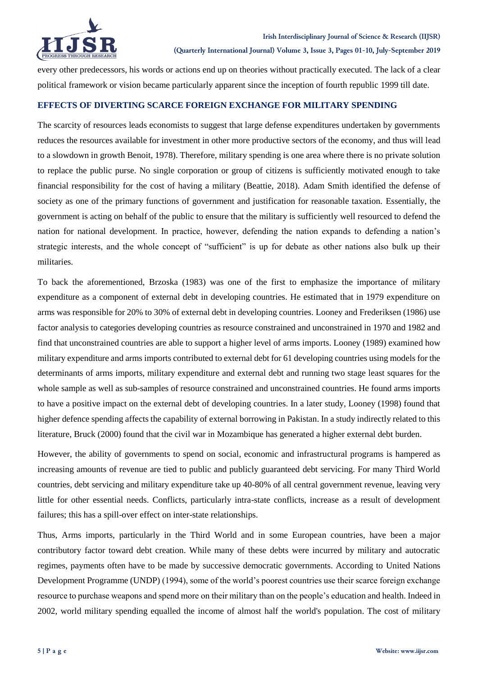

every other predecessors, his words or actions end up on theories without practically executed. The lack of a clear political framework or vision became particularly apparent since the inception of fourth republic 1999 till date.

### **EFFECTS OF DIVERTING SCARCE FOREIGN EXCHANGE FOR MILITARY SPENDING**

The scarcity of resources leads economists to suggest that large defense expenditures undertaken by governments reduces the resources available for investment in other more productive sectors of the economy, and thus will lead to a slowdown in growth Benoit, 1978). Therefore, military spending is one area where there is no private solution to replace the public purse. No single corporation or group of citizens is sufficiently motivated enough to take financial responsibility for the cost of having a military (Beattie, 2018). Adam Smith identified the defense of society as one of the primary functions of government and justification for reasonable taxation. Essentially, the government is acting on behalf of the public to ensure that the military is sufficiently well resourced to defend the nation for national development. In practice, however, defending the nation expands to defending a nation"s strategic interests, and the whole concept of "sufficient" is up for debate as other nations also bulk up their militaries.

To back the aforementioned, Brzoska (1983) was one of the first to emphasize the importance of military expenditure as a component of external debt in developing countries. He estimated that in 1979 expenditure on arms was responsible for 20% to 30% of external debt in developing countries. Looney and Frederiksen (1986) use factor analysis to categories developing countries as resource constrained and unconstrained in 1970 and 1982 and find that unconstrained countries are able to support a higher level of arms imports. Looney (1989) examined how military expenditure and arms imports contributed to external debt for 61 developing countries using models for the determinants of arms imports, military expenditure and external debt and running two stage least squares for the whole sample as well as sub-samples of resource constrained and unconstrained countries. He found arms imports to have a positive impact on the external debt of developing countries. In a later study, Looney (1998) found that higher defence spending affects the capability of external borrowing in Pakistan. In a study indirectly related to this literature, Bruck (2000) found that the civil war in Mozambique has generated a higher external debt burden.

However, the ability of governments to spend on social, economic and infrastructural programs is hampered as increasing amounts of revenue are tied to public and publicly guaranteed debt servicing. For many Third World countries, debt servicing and military expenditure take up 40-80% of all central government revenue, leaving very little for other essential needs. Conflicts, particularly intra-state conflicts, increase as a result of development failures; this has a spill-over effect on inter-state relationships.

Thus, Arms imports, particularly in the Third World and in some European countries, have been a major contributory factor toward debt creation. While many of these debts were incurred by military and autocratic regimes, payments often have to be made by successive democratic governments. According to United Nations Development Programme (UNDP) (1994), some of the world"s poorest countries use their scarce foreign exchange resource to purchase weapons and spend more on their military than on the people"s education and health. Indeed in 2002, world military spending equalled the income of almost half the world's population. The cost of military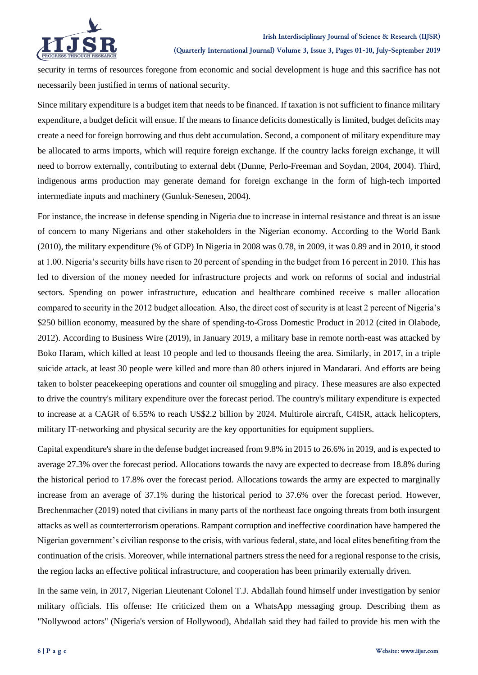

security in terms of resources foregone from economic and social development is huge and this sacrifice has not necessarily been justified in terms of national security.

Since military expenditure is a budget item that needs to be financed. If taxation is not sufficient to finance military expenditure, a budget deficit will ensue. If the means to finance deficits domestically is limited, budget deficits may create a need for foreign borrowing and thus debt accumulation. Second, a component of military expenditure may be allocated to arms imports, which will require foreign exchange. If the country lacks foreign exchange, it will need to borrow externally, contributing to external debt (Dunne, Perlo-Freeman and Soydan, 2004, 2004). Third, indigenous arms production may generate demand for foreign exchange in the form of high-tech imported intermediate inputs and machinery (Gunluk-Senesen, 2004).

For instance, the increase in defense spending in Nigeria due to increase in internal resistance and threat is an issue of concern to many Nigerians and other stakeholders in the Nigerian economy. According to the World Bank (2010), the military expenditure (% of GDP) In Nigeria in 2008 was 0.78, in 2009, it was 0.89 and in 2010, it stood at 1.00. Nigeria's security bills have risen to 20 percent of spending in the budget from 16 percent in 2010. This has led to diversion of the money needed for infrastructure projects and work on reforms of social and industrial sectors. Spending on power infrastructure, education and healthcare combined receive s maller allocation compared to security in the 2012 budget allocation. Also, the direct cost of security is at least 2 percent of Nigeria"s \$250 billion economy, measured by the share of spending-to-Gross Domestic Product in 2012 (cited in Olabode, 2012). According to Business Wire (2019), in January 2019, a military base in remote north-east was attacked by Boko Haram, which killed at least 10 people and led to thousands fleeing the area. Similarly, in 2017, in a triple suicide attack, at least 30 people were killed and more than 80 others injured in Mandarari. And efforts are being taken to bolster peacekeeping operations and counter oil smuggling and piracy. These measures are also expected to drive the country's military expenditure over the forecast period. The country's military expenditure is expected to increase at a CAGR of 6.55% to reach US\$2.2 billion by 2024. Multirole aircraft, C4ISR, attack helicopters, military IT-networking and physical security are the key opportunities for equipment suppliers.

Capital expenditure's share in the defense budget increased from 9.8% in 2015 to 26.6% in 2019, and is expected to average 27.3% over the forecast period. Allocations towards the navy are expected to decrease from 18.8% during the historical period to 17.8% over the forecast period. Allocations towards the army are expected to marginally increase from an average of 37.1% during the historical period to 37.6% over the forecast period. However, Brechenmacher (2019) noted that civilians in many parts of the northeast face ongoing threats from both insurgent attacks as well as counterterrorism operations. Rampant corruption and ineffective coordination have hampered the Nigerian government"s civilian response to the crisis, with various federal, state, and local elites benefiting from the continuation of the crisis. Moreover, while international partners stress the need for a regional response to the crisis, the region lacks an effective political infrastructure, and cooperation has been primarily externally driven.

In the same vein, in 2017, Nigerian Lieutenant Colonel T.J. Abdallah found himself under investigation by senior military officials. His offense: He criticized them on a WhatsApp messaging group. Describing them as "Nollywood actors" (Nigeria's version of Hollywood), Abdallah said they had failed to provide his men with the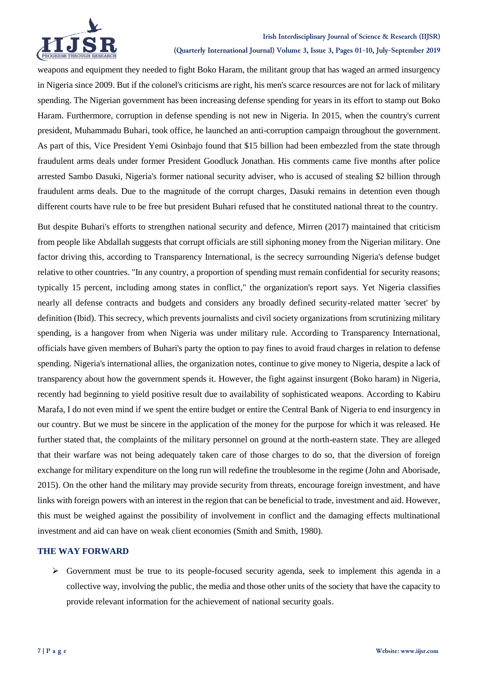

**(Quarterly International Journal) Volume 3, Issue 3, Pages 01-10, July-September 2019**

weapons and equipment they needed to fight Boko Haram, the militant group that has waged an armed insurgency in Nigeria since 2009. But if the colonel's criticisms are right, his men's scarce resources are not for lack of military spending. The Nigerian government has been increasing defense spending for years in its effort to stamp out Boko Haram. Furthermore, corruption in defense spending is not new in Nigeria. In 2015, when the country's current president, Muhammadu Buhari, took office, he launched an anti-corruption campaign throughout the government. As part of this, Vice President Yemi Osinbajo found that \$15 billion had been embezzled from the state through fraudulent arms deals under former President Goodluck Jonathan. His comments came five months after police arrested Sambo Dasuki, Nigeria's former national security adviser, who is accused of stealing \$2 billion through fraudulent arms deals. Due to the magnitude of the corrupt charges, Dasuki remains in detention even though different courts have rule to be free but president Buhari refused that he constituted national threat to the country.

But despite Buhari's efforts to strengthen national security and defence, Mirren (2017) maintained that criticism from people like Abdallah suggests that corrupt officials are still siphoning money from the Nigerian military. One factor driving this, according to Transparency International, is the secrecy surrounding Nigeria's defense budget relative to other countries. "In any country, a proportion of spending must remain confidential for security reasons; typically 15 percent, including among states in conflict," the organization's report says. Yet Nigeria classifies nearly all defense contracts and budgets and considers any broadly defined security-related matter 'secret' by definition (Ibid). This secrecy, which prevents journalists and civil society organizations from scrutinizing military spending, is a hangover from when Nigeria was under military rule. According to Transparency International, officials have given members of Buhari's party the option to pay fines to avoid fraud charges in relation to defense spending. Nigeria's international allies, the organization notes, continue to give money to Nigeria, despite a lack of transparency about how the government spends it. However, the fight against insurgent (Boko haram) in Nigeria, recently had beginning to yield positive result due to availability of sophisticated weapons. According to Kabiru Marafa, I do not even mind if we spent the entire budget or entire the Central Bank of Nigeria to end insurgency in our country. But we must be sincere in the application of the money for the purpose for which it was released. He further stated that, the complaints of the military personnel on ground at the north-eastern state. They are alleged that their warfare was not being adequately taken care of those charges to do so, that the diversion of foreign exchange for military expenditure on the long run will redefine the troublesome in the regime (John and Aborisade, 2015). On the other hand the military may provide security from threats, encourage foreign investment, and have links with foreign powers with an interest in the region that can be beneficial to trade, investment and aid. However, this must be weighed against the possibility of involvement in conflict and the damaging effects multinational investment and aid can have on weak client economies (Smith and Smith, 1980).

#### **THE WAY FORWARD**

 $\triangleright$  Government must be true to its people-focused security agenda, seek to implement this agenda in a collective way, involving the public, the media and those other units of the society that have the capacity to provide relevant information for the achievement of national security goals.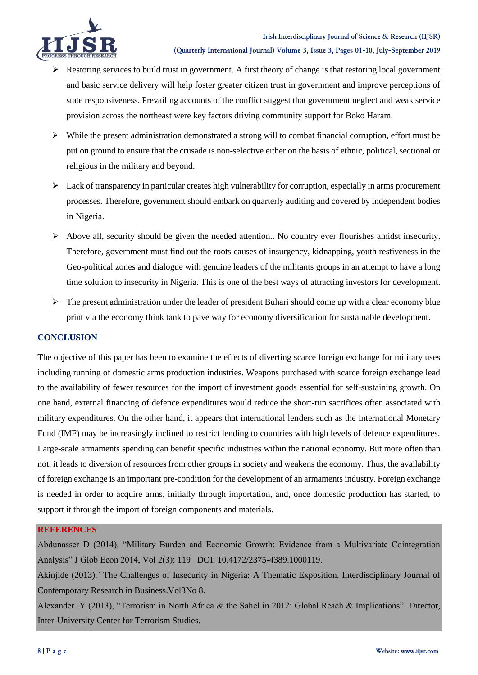

- $\triangleright$  Restoring services to build trust in government. A first theory of change is that restoring local government and basic service delivery will help foster greater citizen trust in government and improve perceptions of state responsiveness. Prevailing accounts of the conflict suggest that government neglect and weak service provision across the northeast were key factors driving community support for Boko Haram.
- $\triangleright$  While the present administration demonstrated a strong will to combat financial corruption, effort must be put on ground to ensure that the crusade is non-selective either on the basis of ethnic, political, sectional or religious in the military and beyond.
- $\triangleright$  Lack of transparency in particular creates high vulnerability for corruption, especially in arms procurement processes. Therefore, government should embark on quarterly auditing and covered by independent bodies in Nigeria.
- $\triangleright$  Above all, security should be given the needed attention.. No country ever flourishes amidst insecurity. Therefore, government must find out the roots causes of insurgency, kidnapping, youth restiveness in the Geo-political zones and dialogue with genuine leaders of the militants groups in an attempt to have a long time solution to insecurity in Nigeria. This is one of the best ways of attracting investors for development.
- $\triangleright$  The present administration under the leader of president Buhari should come up with a clear economy blue print via the economy think tank to pave way for economy diversification for sustainable development.

### **CONCLUSION**

The objective of this paper has been to examine the effects of diverting scarce foreign exchange for military uses including running of domestic arms production industries. Weapons purchased with scarce foreign exchange lead to the availability of fewer resources for the import of investment goods essential for self-sustaining growth. On one hand, external financing of defence expenditures would reduce the short-run sacrifices often associated with military expenditures. On the other hand, it appears that international lenders such as the International Monetary Fund (IMF) may be increasingly inclined to restrict lending to countries with high levels of defence expenditures. Large-scale armaments spending can benefit specific industries within the national economy. But more often than not, it leads to diversion of resources from other groups in society and weakens the economy. Thus, the availability of foreign exchange is an important pre-condition for the development of an armaments industry. Foreign exchange is needed in order to acquire arms, initially through importation, and, once domestic production has started, to support it through the import of foreign components and materials.

#### **REFERENCES**

Abdunasser D (2014), "Military Burden and Economic Growth: Evidence from a Multivariate Cointegration Analysis" J Glob Econ 2014, Vol 2(3): 119 DOI: 10.4172/2375-4389.1000119.

Akinjide (2013).` The Challenges of Insecurity in Nigeria: A Thematic Exposition. Interdisciplinary Journal of Contemporary Research in Business.Vol3No 8.

Alexander .Y (2013), "Terrorism in North Africa & the Sahel in 2012: Global Reach & Implications". Director, Inter-University Center for Terrorism Studies.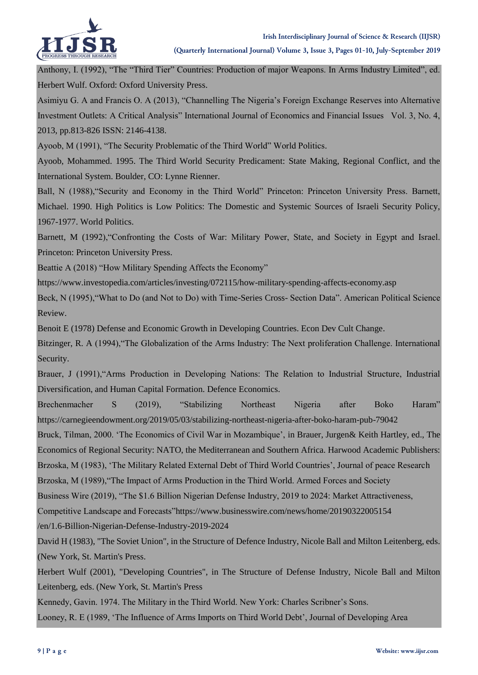

Anthony, I. (1992), "The "Third Tier" Countries: Production of major Weapons. In Arms Industry Limited", ed. Herbert Wulf. Oxford: Oxford University Press.

Asimiyu G. A and Francis O. A (2013), "Channelling The Nigeria's Foreign Exchange Reserves into Alternative Investment Outlets: A Critical Analysis" International Journal of Economics and Financial Issues Vol. 3, No. 4, 2013, pp.813-826 ISSN: 2146-4138.

Ayoob, M (1991), "The Security Problematic of the Third World" World Politics.

Ayoob, Mohammed. 1995. The Third World Security Predicament: State Making, Regional Conflict, and the International System. Boulder, CO: Lynne Rienner.

Ball, N (1988),"Security and Economy in the Third World" Princeton: Princeton University Press. Barnett, Michael. 1990. High Politics is Low Politics: The Domestic and Systemic Sources of Israeli Security Policy, 1967-1977. World Politics.

Barnett, M (1992), "Confronting the Costs of War: Military Power, State, and Society in Egypt and Israel. Princeton: Princeton University Press.

Beattie A (2018) "How Military Spending Affects the Economy"

https://www.investopedia.com/articles/investing/072115/how-military-spending-affects-economy.asp

Beck, N (1995),"What to Do (and Not to Do) with Time-Series Cross- Section Data". American Political Science Review.

Benoit E (1978) Defense and Economic Growth in Developing Countries. Econ Dev Cult Change.

Bitzinger, R. A (1994), "The Globalization of the Arms Industry: The Next proliferation Challenge. International Security.

Brauer, J (1991),"Arms Production in Developing Nations: The Relation to Industrial Structure, Industrial Diversification, and Human Capital Formation. Defence Economics.

Brechenmacher S (2019), "Stabilizing Northeast Nigeria after Boko Haram" https://carnegieendowment.org/2019/05/03/stabilizing-northeast-nigeria-after-boko-haram-pub-79042

Bruck, Tilman, 2000. "The Economics of Civil War in Mozambique", in Brauer, Jurgen& Keith Hartley, ed., The Economics of Regional Security: NATO, the Mediterranean and Southern Africa. Harwood Academic Publishers: Brzoska, M (1983), "The Military Related External Debt of Third World Countries", Journal of peace Research

Brzoska, M (1989), "The Impact of Arms Production in the Third World. Armed Forces and Society

Business Wire (2019), "The \$1.6 Billion Nigerian Defense Industry, 2019 to 2024: Market Attractiveness,

Competitive Landscape and Forecasts"https://www.businesswire.com/news/home/20190322005154

/en/1.6-Billion-Nigerian-Defense-Industry-2019-2024

David H (1983), "The Soviet Union", in the Structure of Defence Industry, Nicole Ball and Milton Leitenberg, eds. (New York, St. Martin's Press.

Herbert Wulf (2001), "Developing Countries", in The Structure of Defense Industry, Nicole Ball and Milton Leitenberg, eds. (New York, St. Martin's Press

Kennedy, Gavin. 1974. The Military in the Third World. New York: Charles Scribner"s Sons. Looney, R. E (1989, "The Influence of Arms Imports on Third World Debt", Journal of Developing Area